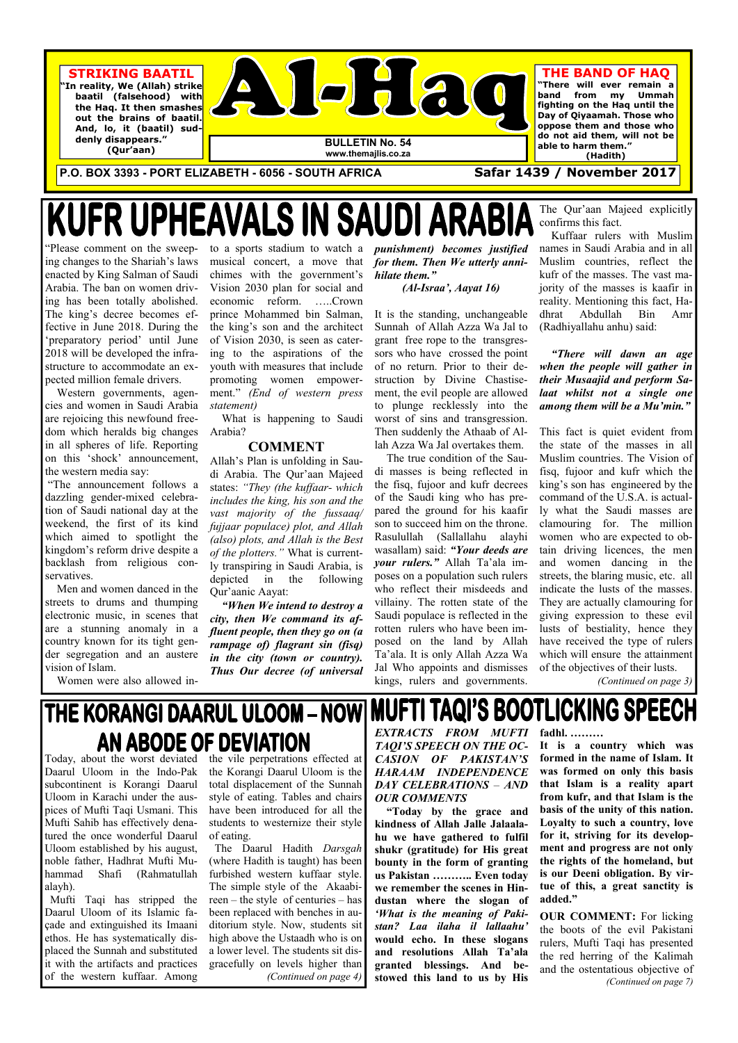**P.O. BOX 3393 - PORT ELIZABETH - 6056 - SOUTH AFRICA Safar 1439 / November 2017** 

# **KUFR UPHEAVALS IN**



Uloom in Karachi under the auspices of Mufti Taqi Usmani. This Mufti Sahib has effectively denatured the once wonderful Daarul Uloom established by his august, noble father, Hadhrat Mufti Muhammad Shafi (Rahmatullah alayh).

 Mufti Taqi has stripped the Daarul Uloom of its Islamic façade and extinguished its Imaani ethos. He has systematically displaced the Sunnah and substituted it with the artifacts and practices of the western kuffaar. Among

Today, about the worst deviated the vile perpetrations effected at Daarul Uloom in the Indo-Pak the Korangi Daarul Uloom is the subcontinent is Korangi Daarul total displacement of the Sunnah style of eating. Tables and chairs have been introduced for all the students to westernize their style of eating. The Daarul Hadith *Darsgah*  (where Hadith is taught) has been furbished western kuffaar style. The simple style of the Akaabireen – the style of centuries – has been replaced with benches in auditorium style. Now, students sit high above the Ustaadh who is on a lower level. The students sit disgracefully on levels higher than *(Continued on page 4)* 

"Please comment on the sweeping changes to the Shariah's laws enacted by King Salman of Saudi Arabia. The ban on women driving has been totally abolished. The king's decree becomes effective in June 2018. During the 'preparatory period' until June 2018 will be developed the infrastructure to accommodate an expected million female drivers.

 Western governments, agencies and women in Saudi Arabia are rejoicing this newfound freedom which heralds big changes in all spheres of life. Reporting on this 'shock' announcement, the western media say:

 "The announcement follows a dazzling gender-mixed celebration of Saudi national day at the weekend, the first of its kind which aimed to spotlight the kingdom's reform drive despite a backlash from religious conservatives.

 Men and women danced in the streets to drums and thumping electronic music, in scenes that are a stunning anomaly in a country known for its tight gender segregation and an austere vision of Islam.

Women were also allowed in-

to a sports stadium to watch a musical concert, a move that chimes with the government's Vision 2030 plan for social and economic reform. …..Crown prince Mohammed bin Salman, the king's son and the architect of Vision 2030, is seen as catering to the aspirations of the youth with measures that include promoting women empowerment." *(End of western press statement)* 

 What is happening to Saudi Arabia?

### **COMMENT**

Allah's Plan is unfolding in Saudi Arabia. The Qur'aan Majeed states: *"They (the kuffaar- which includes the king, his son and the vast majority of the fussaaq/ fujjaar populace) plot, and Allah (also) plots, and Allah is the Best of the plotters."* What is currently transpiring in Saudi Arabia, is depicted in the following Qur'aanic Aayat:

*"When We intend to destroy a city, then We command its affluent people, then they go on (a rampage of) flagrant sin (fisq) in the city (town or country). Thus Our decree (of universal*  *punishment) becomes justified for them. Then We utterly annihilate them."* 

### *(Al-Israa', Aayat 16)*

It is the standing, unchangeable Sunnah of Allah Azza Wa Jal to grant free rope to the transgressors who have crossed the point of no return. Prior to their destruction by Divine Chastisement, the evil people are allowed to plunge recklessly into the worst of sins and transgression. Then suddenly the Athaab of Allah Azza Wa Jal overtakes them.

 The true condition of the Saudi masses is being reflected in the fisq, fujoor and kufr decrees of the Saudi king who has prepared the ground for his kaafir son to succeed him on the throne. Rasulullah (Sallallahu alayhi wasallam) said: *"Your deeds are your rulers."* Allah Ta'ala imposes on a population such rulers who reflect their misdeeds and villainy. The rotten state of the Saudi populace is reflected in the rotten rulers who have been imposed on the land by Allah Ta'ala. It is only Allah Azza Wa Jal Who appoints and dismisses kings, rulers and governments.

The Qur'aan Majeed explicitly confirms this fact.

 Kuffaar rulers with Muslim names in Saudi Arabia and in all Muslim countries, reflect the kufr of the masses. The vast majority of the masses is kaafir in reality. Mentioning this fact, Hadhrat Abdullah Bin Amr (Radhiyallahu anhu) said:

*"There will dawn an age when the people will gather in their Musaajid and perform Salaat whilst not a single one among them will be a Mu'min."* 

This fact is quiet evident from the state of the masses in all Muslim countries. The Vision of fisq, fujoor and kufr which the king's son has engineered by the command of the U.S.A. is actually what the Saudi masses are clamouring for. The million women who are expected to obtain driving licences, the men and women dancing in the streets, the blaring music, etc. all indicate the lusts of the masses. They are actually clamouring for giving expression to these evil lusts of bestiality, hence they have received the type of rulers which will ensure the attainment of the objectives of their lusts.

*(Continued on page 3)* 

# THE KORANGI DAARUL ULOOM - NOW AN ABODE OF DEVIATION

*EXTRACTS FROM MUFTI TAQI'S SPEECH ON THE OC-CASION OF PAKISTAN'S HARAAM INDEPENDENCE* 

### *OUR COMMENTS*

 **"Today by the grace and kindness of Allah Jalle Jalaalahu we have gathered to fulfil shukr (gratitude) for His great bounty in the form of granting us Pakistan ……….. Even today we remember the scenes in Hindustan where the slogan of**  *'What is the meaning of Pakistan? Laa ilaha il lallaahu'*  **would echo. In these slogans and resolutions Allah Ta'ala granted blessings. And bestowed this land to us by His** 

*DAY CELEBRATIONS* – *AND*  **that Islam is a reality apart It is a country which was formed in the name of Islam. It was formed on only this basis from kufr, and that Islam is the basis of the unity of this nation. Loyalty to such a country, love for it, striving for its development and progress are not only the rights of the homeland, but is our Deeni obligation. By virtue of this, a great sanctity is added."** 

**fadhl. ………**

**MUFTI TAQI'S BOOTLICKING SPEECH** 

**OUR COMMENT:** For licking the boots of the evil Pakistani rulers, Mufti Taqi has presented the red herring of the Kalimah and the ostentatious objective of *(Continued on page 7)*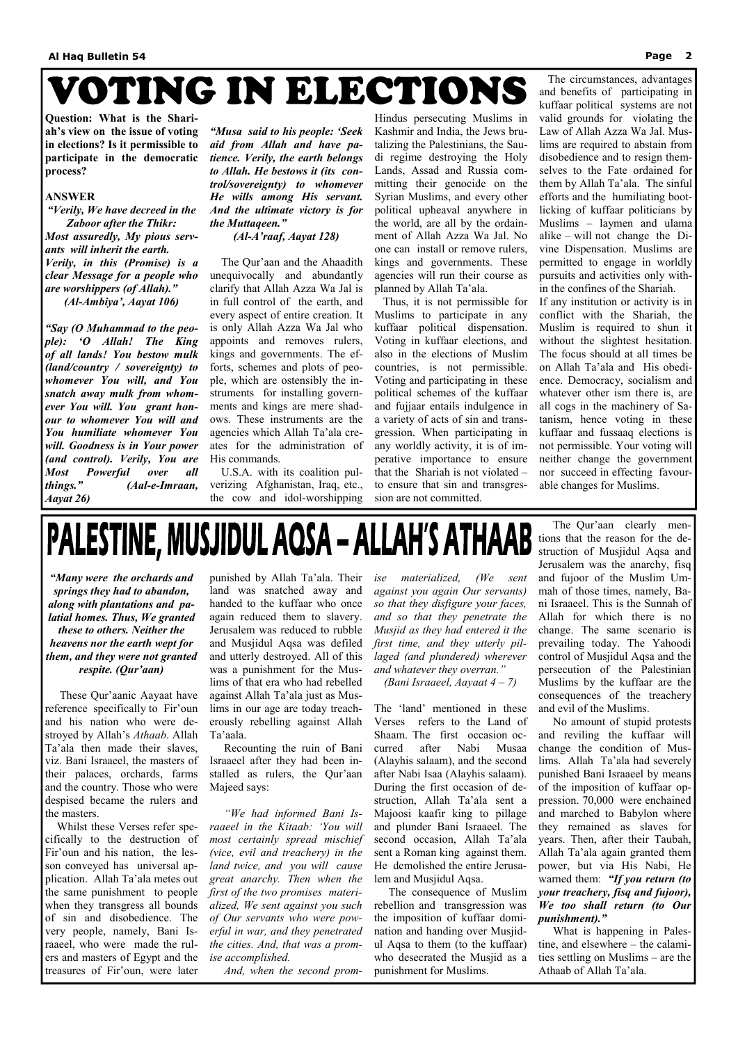# VOTING IN ELECTIONS

**Question: What is the Shariah's view on the issue of voting in elections? Is it permissible to participate in the democratic process?** 

#### **ANSWER**

*"Verily, We have decreed in the Zaboor after the Thikr: Most assuredly, My pious servants will inherit the earth. Verily, in this (Promise) is a clear Message for a people who are worshippers (of Allah)."* 

*(Al-Ambiya', Aayat 106)* 

*"Say (O Muhammad to the people): 'O Allah! The King of all lands! You bestow mulk (land/country / sovereignty) to whomever You will, and You snatch away mulk from whomever You will. You grant honour to whomever You will and You humiliate whomever You will. Goodness is in Your power (and control). Verily, You are Most Powerful over all things." (Aal-e-Imraan, Aayat 26)* 

*"Musa said to his people: 'Seek aid from Allah and have patience. Verily, the earth belongs to Allah. He bestows it (its control/sovereignty) to whomever He wills among His servant. And the ultimate victory is for the Muttaqeen."* 

*(Al-A'raaf, Aayat 128)* 

 The Qur'aan and the Ahaadith unequivocally and abundantly clarify that Allah Azza Wa Jal is in full control of the earth, and every aspect of entire creation. It is only Allah Azza Wa Jal who appoints and removes rulers, kings and governments. The efforts, schemes and plots of people, which are ostensibly the instruments for installing governments and kings are mere shadows. These instruments are the agencies which Allah Ta'ala creates for the administration of His commands.

 U.S.A. with its coalition pulverizing Afghanistan, Iraq, etc., the cow and idol-worshipping Hindus persecuting Muslims in Kashmir and India, the Jews brutalizing the Palestinians, the Saudi regime destroying the Holy Lands, Assad and Russia committing their genocide on the Syrian Muslims, and every other political upheaval anywhere in the world, are all by the ordainment of Allah Azza Wa Jal. No one can install or remove rulers, kings and governments. These agencies will run their course as planned by Allah Ta'ala.

 Thus, it is not permissible for Muslims to participate in any kuffaar political dispensation. Voting in kuffaar elections, and also in the elections of Muslim countries, is not permissible. Voting and participating in these political schemes of the kuffaar and fujjaar entails indulgence in a variety of acts of sin and transgression. When participating in any worldly activity, it is of imperative importance to ensure that the Shariah is not violated – to ensure that sin and transgression are not committed.

 The circumstances, advantages and benefits of participating in kuffaar political systems are not valid grounds for violating the Law of Allah Azza Wa Jal. Muslims are required to abstain from disobedience and to resign themselves to the Fate ordained for them by Allah Ta'ala. The sinful efforts and the humiliating bootlicking of kuffaar politicians by Muslims – laymen and ulama alike – will not change the Divine Dispensation. Muslims are permitted to engage in worldly pursuits and activities only within the confines of the Shariah.

If any institution or activity is in conflict with the Shariah, the Muslim is required to shun it without the slightest hesitation. The focus should at all times be on Allah Ta'ala and His obedience. Democracy, socialism and whatever other ism there is, are all cogs in the machinery of Satanism, hence voting in these kuffaar and fussaaq elections is not permissible. Your voting will neither change the government nor succeed in effecting favourable changes for Muslims.

# PALESTINE, MUSJIDUL AQSA - ALLAH'S ATHAAB

*"Many were the orchards and springs they had to abandon, along with plantations and palatial homes. Thus, We granted these to others. Neither the heavens nor the earth wept for them, and they were not granted respite. (Qur'aan)* 

These Qur'aanic Aayaat have reference specifically to Fir'oun and his nation who were destroyed by Allah's *Athaab*. Allah Ta'ala then made their slaves, viz. Bani Israaeel, the masters of their palaces, orchards, farms and the country. Those who were despised became the rulers and the masters. Whilst these Verses refer specifically to the destruction of Fir'oun and his nation, the lesson conveyed has universal application. Allah Ta'ala metes out the same punishment to people when they transgress all bounds of sin and disobedience. The very people, namely, Bani Israaeel, who were made the rulers and masters of Egypt and the treasures of Fir'oun, were later Ta'aala. *ise accomplished.* 

punished by Allah Ta'ala. Their land was snatched away and handed to the kuffaar who once again reduced them to slavery. Jerusalem was reduced to rubble and Musjidul Aqsa was defiled and utterly destroyed. All of this was a punishment for the Muslims of that era who had rebelled against Allah Ta'ala just as Muslims in our age are today treacherously rebelling against Allah

 Recounting the ruin of Bani Israaeel after they had been installed as rulers, the Qur'aan Majeed says:  *"We had informed Bani Israaeel in the Kitaab: 'You will most certainly spread mischief (vice, evil and treachery) in the land twice, and you will cause great anarchy. Then when the first of the two promises materialized, We sent against you such of Our servants who were powerful in war, and they penetrated the cities. And, that was a prom-*

 *And, when the second prom-*

*ise materialized, (We sent against you again Our servants) so that they disfigure your faces, and so that they penetrate the Musjid as they had entered it the first time, and they utterly pillaged (and plundered) wherever and whatever they overran."* 

*(Bani Israaeel, Aayaat 4 – 7)* 

The 'land' mentioned in these Verses refers to the Land of Shaam. The first occasion occurred after Nabi Musaa (Alayhis salaam), and the second after Nabi Isaa (Alayhis salaam). During the first occasion of destruction, Allah Ta'ala sent a Majoosi kaafir king to pillage and plunder Bani Israaeel. The second occasion, Allah Ta'ala sent a Roman king against them. He demolished the entire Jerusalem and Musjidul Aqsa. The consequence of Muslim rebellion and transgression was the imposition of kuffaar domination and handing over Musjidul Aqsa to them (to the kuffaar) who desecrated the Musjid as a punishment for Muslims.

 The Qur'aan clearly mentions that the reason for the destruction of Musjidul Aqsa and Jerusalem was the anarchy, fisq and fujoor of the Muslim Ummah of those times, namely, Bani Israaeel. This is the Sunnah of Allah for which there is no change. The same scenario is prevailing today. The Yahoodi control of Musjidul Aqsa and the persecution of the Palestinian Muslims by the kuffaar are the consequences of the treachery and evil of the Muslims.

 No amount of stupid protests and reviling the kuffaar will change the condition of Muslims. Allah Ta'ala had severely punished Bani Israaeel by means of the imposition of kuffaar oppression. 70,000 were enchained and marched to Babylon where they remained as slaves for years. Then, after their Taubah, Allah Ta'ala again granted them power, but via His Nabi, He warned them: *"If you return (to your treachery, fisq and fujoor), We too shall return (to Our punishment)."*  What is happening in Palestine, and elsewhere – the calamities settling on Muslims – are the Athaab of Allah Ta'ala.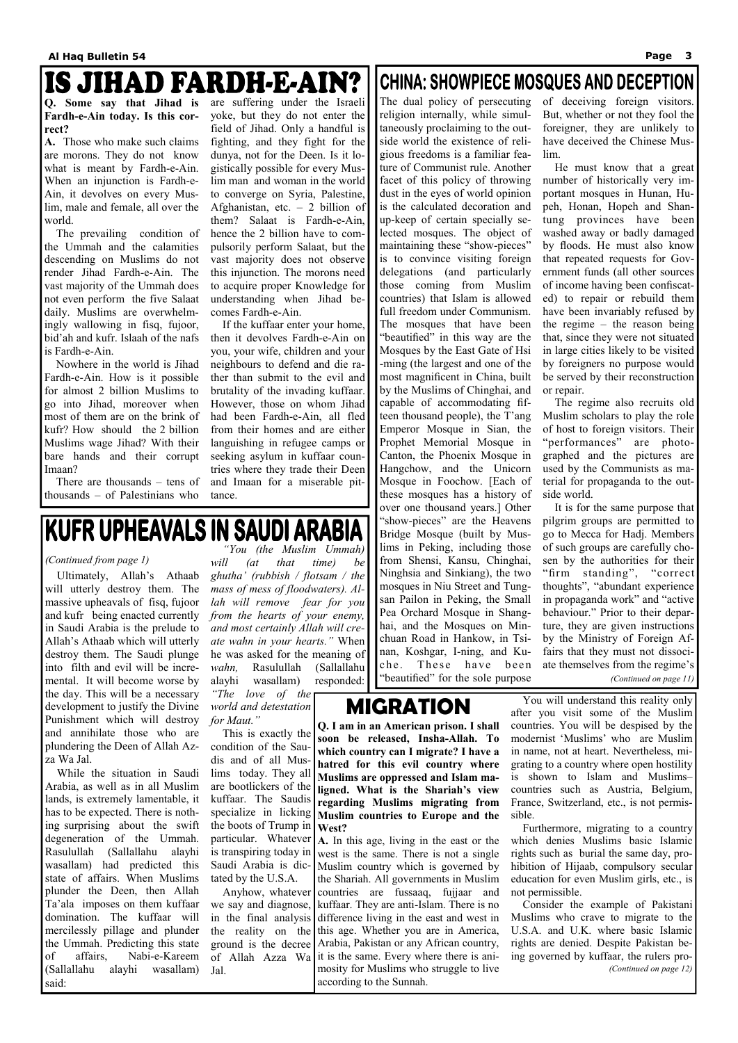# IS JIHAD FARDH-E-AIN?

**Q. Some say that Jihad is Fardh-e-Ain today. Is this correct?** 

**A.** Those who make such claims are morons. They do not know what is meant by Fardh-e-Ain. When an injunction is Fardh-e-Ain, it devolves on every Muslim, male and female, all over the world.

 The prevailing condition of the Ummah and the calamities descending on Muslims do not render Jihad Fardh-e-Ain. The vast majority of the Ummah does not even perform the five Salaat daily. Muslims are overwhelmingly wallowing in fisq, fujoor, bid'ah and kufr. Islaah of the nafs is Fardh-e-Ain.

 Nowhere in the world is Jihad Fardh-e-Ain. How is it possible for almost 2 billion Muslims to go into Jihad, moreover when most of them are on the brink of kufr? How should the 2 billion Muslims wage Jihad? With their bare hands and their corrupt Imaan?

 There are thousands – tens of thousands – of Palestinians who

are suffering under the Israeli yoke, but they do not enter the field of Jihad. Only a handful is fighting, and they fight for the dunya, not for the Deen. Is it logistically possible for every Muslim man and woman in the world to converge on Syria, Palestine, Afghanistan, etc.  $-2$  billion of them? Salaat is Fardh-e-Ain, hence the 2 billion have to compulsorily perform Salaat, but the vast majority does not observe this injunction. The morons need to acquire proper Knowledge for understanding when Jihad becomes Fardh-e-Ain.

 If the kuffaar enter your home, then it devolves Fardh-e-Ain on you, your wife, children and your neighbours to defend and die rather than submit to the evil and brutality of the invading kuffaar. However, those on whom Jihad had been Fardh-e-Ain, all fled from their homes and are either languishing in refugee camps or seeking asylum in kuffaar countries where they trade their Deen and Imaan for a miserable pittance.

### **CHINA: SHOWPIECE MOSQUES AND DECEPTION**

The dual policy of persecuting religion internally, while simultaneously proclaiming to the outside world the existence of religious freedoms is a familiar feature of Communist rule. Another facet of this policy of throwing dust in the eyes of world opinion is the calculated decoration and up-keep of certain specially selected mosques. The object of maintaining these "show-pieces" is to convince visiting foreign delegations (and particularly those coming from Muslim countries) that Islam is allowed full freedom under Communism. The mosques that have been "beautified" in this way are the Mosques by the East Gate of Hsi -ming (the largest and one of the most magnificent in China, built by the Muslims of Chinghai, and capable of accommodating fifteen thousand people), the T'ang Emperor Mosque in Sian, the Prophet Memorial Mosque in Canton, the Phoenix Mosque in Hangchow, and the Unicorn Mosque in Foochow. [Each of these mosques has a history of over one thousand years.] Other "show-pieces" are the Heavens Bridge Mosque (built by Muslims in Peking, including those from Shensi, Kansu, Chinghai, Ninghsia and Sinkiang), the two mosques in Niu Street and Tungsan Pailon in Peking, the Small Pea Orchard Mosque in Shanghai, and the Mosques on Minchuan Road in Hankow, in Tsinan, Koshgar, I-ning, and Kuche. These have been "beautified" for the sole purpose

of deceiving foreign visitors. But, whether or not they fool the foreigner, they are unlikely to have deceived the Chinese Muslim.

 He must know that a great number of historically very important mosques in Hunan, Hupeh, Honan, Hopeh and Shantung provinces have been washed away or badly damaged by floods. He must also know that repeated requests for Government funds (all other sources of income having been confiscated) to repair or rebuild them have been invariably refused by the regime – the reason being that, since they were not situated in large cities likely to be visited by foreigners no purpose would be served by their reconstruction or repair.

 The regime also recruits old Muslim scholars to play the role of host to foreign visitors. Their "performances" are photographed and the pictures are used by the Communists as material for propaganda to the outside world.

 It is for the same purpose that pilgrim groups are permitted to go to Mecca for Hadj. Members of such groups are carefully chosen by the authorities for their "firm standing", "correct thoughts", "abundant experience in propaganda work" and "active behaviour." Prior to their departure, they are given instructions by the Ministry of Foreign Affairs that they must not dissociate themselves from the regime's *(Continued on page 11)* 

## IKUFR UPHEAVALS IN SAUDI ARABIA

 Ultimately, Allah's Athaab will utterly destroy them. The massive upheavals of fisq, fujoor and kufr being enacted currently in Saudi Arabia is the prelude to Allah's Athaab which will utterly destroy them. The Saudi plunge into filth and evil will be incremental. It will become worse by the day. This will be a necessary development to justify the Divine Punishment which will destroy and annihilate those who are plundering the Deen of Allah Az-

 *"You (the Muslim Ummah) will (at that time) be ghutha' (rubbish / flotsam / the mass of mess of floodwaters). Allah will remove fear for you from the hearts of your enemy, and most certainly Allah will create wahn in your hearts."* When he was asked for the meaning of *wahn,* Rasulullah (Sallallahu alayhi wasallam) responded:

za Wa Jal. This is exactly the condition of the Saudis and of all Mus**soon be released, Insha-Allah. To which country can I migrate? I have a hatred for this evil country where**  modernist 'Muslims' who are Muslim in name, not at heart. Nevertheless, migrating to a country where open hostility

#### *(Continued from page 1)*

 While the situation in Saudi lims today. They all Arabia, as well as in all Muslim are bootlickers of the lands, is extremely lamentable, it has to be expected. There is nothing surprising about the swift degeneration of the Ummah. Rasulullah (Sallallahu alayhi wasallam) had predicted this state of affairs. When Muslims plunder the Deen, then Allah Ta'ala imposes on them kuffaar domination. The kuffaar will mercilessly pillage and plunder the Ummah. Predicting this state of affairs, Nabi-e-Kareem (Sallallahu alayhi wasallam) said: kuffaar. The Saudis specialize in licking the boots of Trump in  ${\text{West}}$ ? particular. Whatever  $\mathbf{A}$ . In this age, living in the east or the is transpiring today in Saudi Arabia is dictated by the U.S.A. Anyhow, whatever we say and diagnose, in the final analysis difference living in the east and west in the reality on the this age. Whether you are in America, ground is the decree Arabia, Pakistan or any African country, of Allah Azza Wa it is the same. Every where there is ani-Jal. **Muslims are oppressed and Islam maligned. What is the Shariah's view regarding Muslims migrating from Muslim countries to Europe and the**  west is the same. There is not a single Muslim country which is governed by the Shariah. All governments in Muslim countries are fussaaq, fujjaar and kuffaar. They are anti-Islam. There is no mosity for Muslims who struggle to live according to the Sunnah. is shown to Islam and Muslims– countries such as Austria, Belgium, France, Switzerland, etc., is not permissible. Furthermore, migrating to a country which denies Muslims basic Islamic rights such as burial the same day, prohibition of Hijaab, compulsory secular education for even Muslim girls, etc., is not permissible. Consider the example of Pakistani Muslims who crave to migrate to the U.S.A. and U.K. where basic Islamic rights are denied. Despite Pakistan being governed by kuffaar, the rulers pro- *(Continued on page 12)* 

*"The love of the world and detestation for Maut."*  **MIGRATION**  You will understand this reality only after you visit some of the Muslim

**Q. I am in an American prison. I shall**  countries. You will be despised by the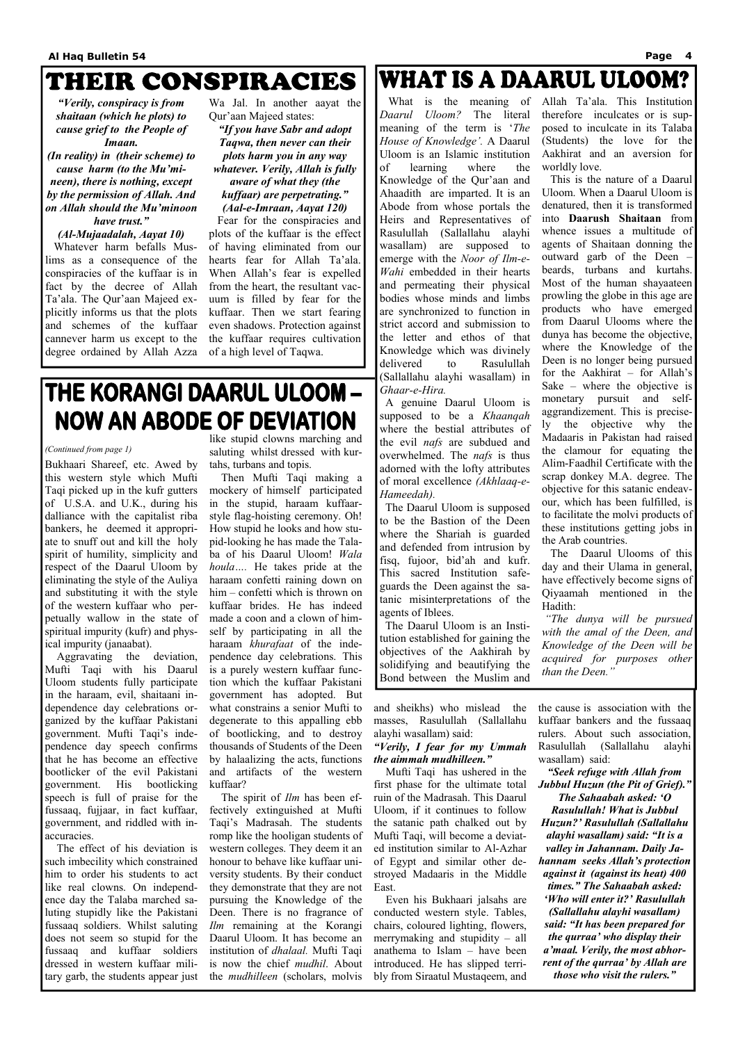### THEIR CONSPIRACIES

*"Verily, conspiracy is from shaitaan (which he plots) to cause grief to the People of* 

*Imaan. (In reality) in (their scheme) to cause harm (to the Mu'mineen), there is nothing, except by the permission of Allah. And on Allah should the Mu'minoon have trust."* 

### *(Al-Mujaadalah, Aayat 10)*

 Whatever harm befalls Muslims as a consequence of the conspiracies of the kuffaar is in fact by the decree of Allah Ta'ala. The Qur'aan Majeed explicitly informs us that the plots and schemes of the kuffaar cannever harm us except to the degree ordained by Allah Azza

Wa Jal. In another aayat the Qur'aan Majeed states:

*"If you have Sabr and adopt Taqwa, then never can their plots harm you in any way whatever. Verily, Allah is fully aware of what they (the kuffaar) are perpetrating." (Aal-e-Imraan, Aayat 120)* 

 Fear for the conspiracies and plots of the kuffaar is the effect of having eliminated from our hearts fear for Allah Ta'ala. When Allah's fear is expelled from the heart, the resultant vacuum is filled by fear for the kuffaar. Then we start fearing even shadows. Protection against the kuffaar requires cultivation of a high level of Taqwa.

## **WHAT IS A DAARUL ULOOM?**

Bukhaari Shareef, etc. Awed by this western style which Mufti Taqi picked up in the kufr gutters of U.S.A. and U.K., during his dalliance with the capitalist riba bankers, he deemed it appropriate to snuff out and kill the holy spirit of humility, simplicity and respect of the Daarul Uloom by eliminating the style of the Auliya and substituting it with the style of the western kuffaar who perpetually wallow in the state of spiritual impurity (kufr) and physical impurity (janaabat).

 Aggravating the deviation, Mufti Taqi with his Daarul Uloom students fully participate in the haraam, evil, shaitaani independence day celebrations organized by the kuffaar Pakistani government. Mufti Taqi's independence day speech confirms that he has become an effective bootlicker of the evil Pakistani government. His bootlicking speech is full of praise for the fussaaq, fujjaar, in fact kuffaar, government, and riddled with inaccuracies. The effect of his deviation is such imbecility which constrained him to order his students to act like real clowns. On independence day the Talaba marched saluting stupidly like the Pakistani fussaaq soldiers. Whilst saluting does not seem so stupid for the fussaaq and kuffaar soldiers dressed in western kuffaar military garb, the students appear just

like stupid clowns marching and saluting whilst dressed with kurtahs, turbans and topis.

 Then Mufti Taqi making a mockery of himself participated in the stupid, haraam kuffaarstyle flag-hoisting ceremony. Oh! How stupid he looks and how stupid-looking he has made the Talaba of his Daarul Uloom! *Wala houla….* He takes pride at the haraam confetti raining down on him – confetti which is thrown on kuffaar brides. He has indeed made a coon and a clown of himself by participating in all the haraam *khurafaat* of the independence day celebrations. This is a purely western kuffaar function which the kuffaar Pakistani government has adopted. But what constrains a senior Mufti to degenerate to this appalling ebb of bootlicking, and to destroy thousands of Students of the Deen by halaalizing the acts, functions and artifacts of the western kuffaar?

 The spirit of *Ilm* has been effectively extinguished at Mufti Taqi's Madrasah. The students romp like the hooligan students of western colleges. They deem it an honour to behave like kuffaar university students. By their conduct they demonstrate that they are not pursuing the Knowledge of the Deen. There is no fragrance of *Ilm* remaining at the Korangi Daarul Uloom. It has become an institution of *dhalaal.* Mufti Taqi is now the chief *mudhil*. About the *mudhilleen* (scholars, molvis

and sheikhs) who mislead the masses, Rasulullah (Sallallahu alayhi wasallam) said:

### *"Verily, I fear for my Ummah the aimmah mudhilleen."*

 Mufti Taqi has ushered in the first phase for the ultimate total

ruin of the Madrasah. This Daarul Uloom, if it continues to follow the satanic path chalked out by Mufti Taqi, will become a deviated institution similar to Al-Azhar of Egypt and similar other destroyed Madaaris in the Middle East.

 Even his Bukhaari jalsahs are conducted western style. Tables, chairs, coloured lighting, flowers, merrymaking and stupidity – all anathema to Islam – have been introduced. He has slipped terribly from Siraatul Mustaqeem, and

the cause is association with the kuffaar bankers and the fussaaq rulers. About such association, Rasulullah (Sallallahu alayhi wasallam) said:

*"Seek refuge with Allah from Jubbul Huzun (the Pit of Grief)." The Sahaabah asked: 'O Rasulullah! What is Jubbul Huzun?' Rasulullah (Sallallahu alayhi wasallam) said: "It is a valley in Jahannam. Daily Jahannam seeks Allah's protection against it (against its heat) 400 times." The Sahaabah asked: 'Who will enter it?' Rasulullah (Sallallahu alayhi wasallam) said: "It has been prepared for the qurraa' who display their a'maal. Verily, the most abhorrent of the qurraa' by Allah are those who visit the rulers."*

## THE KORANGI DAARUL ULOOM -**NOW AN ABODE OF DEVIATION**

#### *(Continued from page 1)*

 What is the meaning of *Daarul Uloom?* The literal meaning of the term is '*The House of Knowledge'.* A Daarul Uloom is an Islamic institution of learning where the Knowledge of the Qur'aan and Ahaadith are imparted. It is an Abode from whose portals the Heirs and Representatives of Rasulullah (Sallallahu alayhi wasallam) are supposed to emerge with the *Noor of Ilm-e-Wahi* embedded in their hearts and permeating their physical bodies whose minds and limbs are synchronized to function in strict accord and submission to the letter and ethos of that Knowledge which was divinely delivered to Rasulullah (Sallallahu alayhi wasallam) in *Ghaar-e-Hira.* 

A genuine Daarul Uloom is supposed to be a *Khaanqah*  where the bestial attributes of the evil *nafs* are subdued and overwhelmed. The *nafs* is thus adorned with the lofty attributes of moral excellence *(Akhlaaq-e-Hameedah).* 

 The Daarul Uloom is supposed to be the Bastion of the Deen where the Shariah is guarded and defended from intrusion by fisq, fujoor, bid'ah and kufr. This sacred Institution safeguards the Deen against the satanic misinterpretations of the agents of Iblees.

 The Daarul Uloom is an Institution established for gaining the objectives of the Aakhirah by solidifying and beautifying the Bond between the Muslim and

Allah Ta'ala. This Institution therefore inculcates or is supposed to inculcate in its Talaba (Students) the love for the Aakhirat and an aversion for worldly love.

 This is the nature of a Daarul Uloom. When a Daarul Uloom is denatured, then it is transformed into **Daarush Shaitaan** from whence issues a multitude of agents of Shaitaan donning the outward garb of the Deen – beards, turbans and kurtahs. Most of the human shayaateen prowling the globe in this age are products who have emerged from Daarul Ulooms where the dunya has become the objective, where the Knowledge of the Deen is no longer being pursued for the Aakhirat – for Allah's Sake – where the objective is monetary pursuit and selfaggrandizement. This is precisely the objective why the Madaaris in Pakistan had raised the clamour for equating the Alim-Faadhil Certificate with the scrap donkey M.A. degree. The objective for this satanic endeavour, which has been fulfilled, is to facilitate the molvi products of these institutions getting jobs in the Arab countries.

 The Daarul Ulooms of this day and their Ulama in general, have effectively become signs of Qiyaamah mentioned in the Hadith:

 *"The dunya will be pursued with the amal of the Deen, and Knowledge of the Deen will be acquired for purposes other than the Deen."*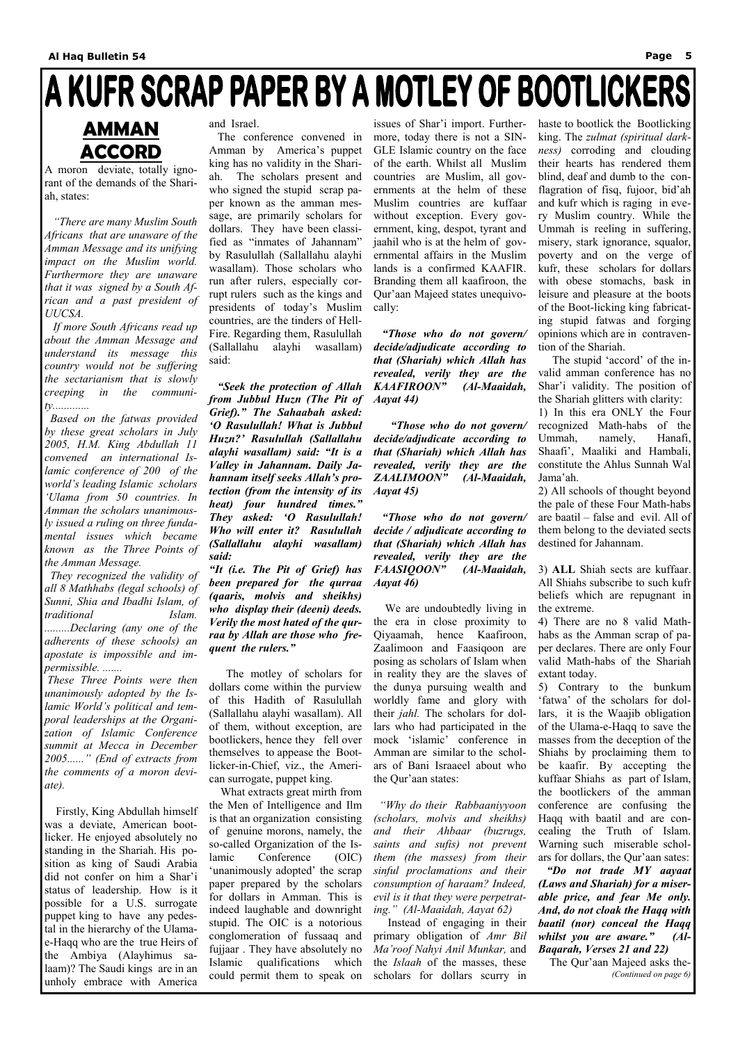# A KUFR SCRAP PAPER BY A MOTLEY OF BOOTLICKERS

### **AMMAN ACCORD**

A moron deviate, totally ignorant of the demands of the Shariah, states:

 *"There are many Muslim South Africans that are unaware of the Amman Message and its unifying impact on the Muslim world. Furthermore they are unaware that it was signed by a South African and a past president of UUCSA.* 

 *If more South Africans read up about the Amman Message and understand its message this country would not be suffering the sectarianism that is slowly creeping in the community.............* 

 *Based on the fatwas provided by these great scholars in July 2005, H.M. King Abdullah 11 convened an international Islamic conference of 200 of the world's leading Islamic scholars 'Ulama from 50 countries. In Amman the scholars unanimously issued a ruling on three fundamental issues which became known as the Three Points of the Amman Message.* 

 *They recognized the validity of all 8 Mathhabs (legal schools) of Sunni, Shia and Ibadhi Islam, of traditional Islam. .........Declaring (any one of the adherents of these schools) an apostate is impossible and impermissible. .......* 

 *These Three Points were then unanimously adopted by the Islamic World's political and temporal leaderships at the Organization of Islamic Conference summit at Mecca in December 2005......" (End of extracts from the comments of a moron deviate).* 

 Firstly, King Abdullah himself was a deviate, American bootlicker. He enjoyed absolutely no standing in the Shariah. His position as king of Saudi Arabia did not confer on him a Shar'i status of leadership. How is it possible for a U.S. surrogate puppet king to have any pedestal in the hierarchy of the Ulamae-Haqq who are the true Heirs of the Ambiya (Alayhimus salaam)? The Saudi kings are in an unholy embrace with America

and Israel.

 The conference convened in Amman by America's puppet king has no validity in the Shariah. The scholars present and who signed the stupid scrap paper known as the amman message, are primarily scholars for dollars. They have been classified as "inmates of Jahannam" by Rasulullah (Sallallahu alayhi wasallam). Those scholars who run after rulers, especially corrupt rulers such as the kings and presidents of today's Muslim countries, are the tinders of Hell-Fire. Regarding them, Rasulullah (Sallallahu alayhi wasallam) said:

 *"Seek the protection of Allah from Jubbul Huzn (The Pit of Grief)." The Sahaabah asked: 'O Rasulullah! What is Jubbul Huzn?' Rasulullah (Sallallahu alayhi wasallam) said: "It is a Valley in Jahannam. Daily Jahannam itself seeks Allah's protection (from the intensity of its heat) four hundred times." They asked: 'O Rasulullah! Who will enter it? Rasulullah (Sallallahu alayhi wasallam) said:* 

*"It (i.e. The Pit of Grief) has been prepared for the qurraa (qaaris, molvis and sheikhs) who display their (deeni) deeds. Verily the most hated of the qurraa by Allah are those who frequent the rulers."* 

 The motley of scholars for dollars come within the purview of this Hadith of Rasulullah (Sallallahu alayhi wasallam). All of them, without exception, are bootlickers, hence they fell over themselves to appease the Bootlicker-in-Chief, viz., the American surrogate, puppet king. What extracts great mirth from the Men of Intelligence and Ilm is that an organization consisting of genuine morons, namely, the so-called Organization of the Islamic Conference (OIC) 'unanimously adopted' the scrap paper prepared by the scholars for dollars in Amman. This is indeed laughable and downright stupid. The OIC is a notorious conglomeration of fussaaq and fujjaar . They have absolutely no Islamic qualifications which could permit them to speak on

issues of Shar'i import. Furthermore, today there is not a SIN-GLE Islamic country on the face of the earth. Whilst all Muslim countries are Muslim, all governments at the helm of these Muslim countries are kuffaar without exception. Every government, king, despot, tyrant and jaahil who is at the helm of governmental affairs in the Muslim lands is a confirmed KAAFIR. Branding them all kaafiroon, the Qur'aan Majeed states unequivocally:

 *"Those who do not govern/ decide/adjudicate according to that (Shariah) which Allah has revealed, verily they are the KAAFIROON" (Al-Maaidah, Aayat 44)* 

 *"Those who do not govern/ decide/adjudicate according to that (Shariah) which Allah has revealed, verily they are the*  ZAALIMOON" *Aayat 45)* 

 *"Those who do not govern/ decide / adjudicate according to that (Shariah) which Allah has revealed, verily they are the FAASIQOON" (Al-Maaidah, Aayat 46)* 

 We are undoubtedly living in the era in close proximity to Qiyaamah, hence Kaafiroon, Zaalimoon and Faasiqoon are posing as scholars of Islam when in reality they are the slaves of the dunya pursuing wealth and worldly fame and glory with their *jahl.* The scholars for dollars who had participated in the mock 'islamic' conference in Amman are similar to the scholars of Bani Israaeel about who the Qur'aan states:  *"Why do their Rabbaaniyyoon (scholars, molvis and sheikhs) and their Ahbaar (buzrugs, saints and sufis) not prevent them (the masses) from their sinful proclamations and their consumption of haraam? Indeed, evil is it that they were perpetrating." (Al-Maaidah, Aayat 62)*  Instead of engaging in their primary obligation of *Amr Bil Ma'roof Nahyi Anil Munkar,* and the *Islaah* of the masses, these scholars for dollars scurry in

haste to bootlick the Bootlicking king. The *zulmat (spiritual darkness)* corroding and clouding their hearts has rendered them blind, deaf and dumb to the conflagration of fisq, fujoor, bid'ah and kufr which is raging in every Muslim country. While the Ummah is reeling in suffering, misery, stark ignorance, squalor, poverty and on the verge of kufr, these scholars for dollars with obese stomachs, bask in leisure and pleasure at the boots of the Boot-licking king fabricating stupid fatwas and forging opinions which are in contravention of the Shariah.

 The stupid 'accord' of the invalid amman conference has no Shar'i validity. The position of the Shariah glitters with clarity:

1) In this era ONLY the Four recognized Math-habs of the Ummah, namely, Hanafi, Shaafi', Maaliki and Hambali, constitute the Ahlus Sunnah Wal Jama'ah.

2) All schools of thought beyond the pale of these Four Math-habs are baatil – false and evil. All of them belong to the deviated sects destined for Jahannam.

3) **ALL** Shiah sects are kuffaar. All Shiahs subscribe to such kufr beliefs which are repugnant in the extreme.

4) There are no 8 valid Mathhabs as the Amman scrap of paper declares. There are only Four valid Math-habs of the Shariah extant today.

5) Contrary to the bunkum 'fatwa' of the scholars for dollars, it is the Waajib obligation of the Ulama-e-Haqq to save the masses from the deception of the Shiahs by proclaiming them to be kaafir. By accepting the kuffaar Shiahs as part of Islam, the bootlickers of the amman conference are confusing the Haqq with baatil and are concealing the Truth of Islam. Warning such miserable scholars for dollars, the Qur'aan sates: *"Do not trade MY aayaat (Laws and Shariah) for a miserable price, and fear Me only. And, do not cloak the Haqq with baatil (nor) conceal the Haqq whilst you are aware." (Al-Baqarah, Verses 21 and 22)*  The Qur'aan Majeed asks the- *(Continued on page 6)*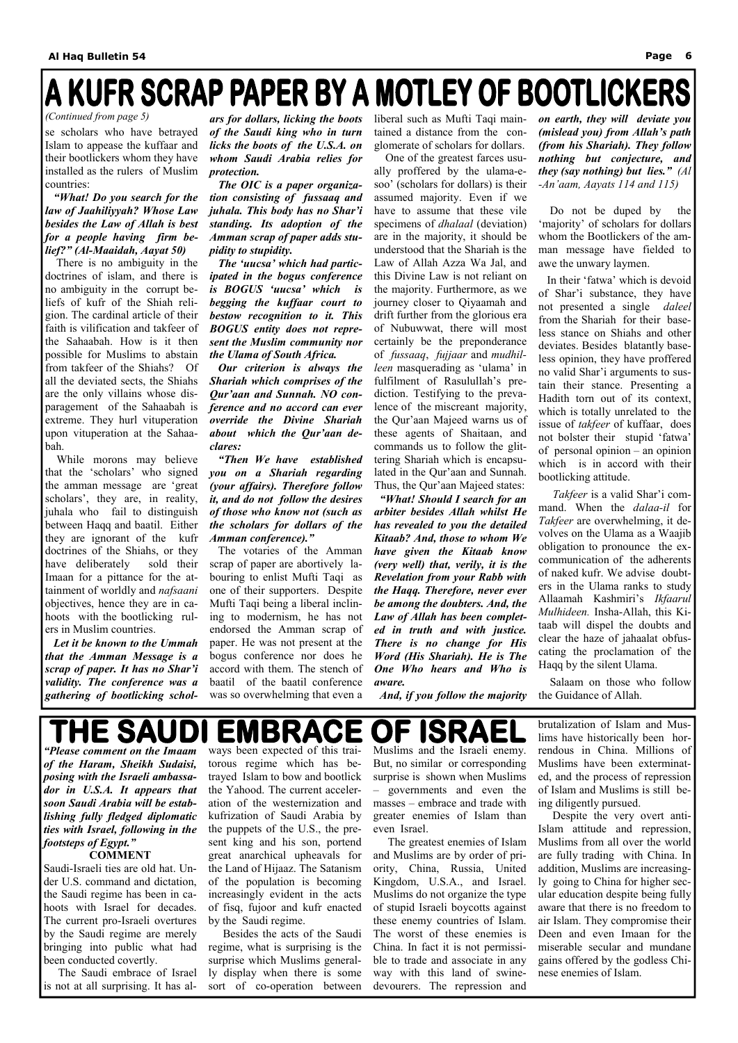# A KUFR SCRAP PAPER BY A MOTLEY OF BOOTLICKERS

se scholars who have betrayed Islam to appease the kuffaar and their bootlickers whom they have installed as the rulers of Muslim countries:

 *"What! Do you search for the law of Jaahiliyyah? Whose Law besides the Law of Allah is best for a people having firm belief?" (Al-Maaidah, Aayat 50)* 

There is no ambiguity in the doctrines of islam, and there is no ambiguity in the corrupt beliefs of kufr of the Shiah religion. The cardinal article of their faith is vilification and takfeer of the Sahaabah. How is it then possible for Muslims to abstain from takfeer of the Shiahs? Of all the deviated sects, the Shiahs are the only villains whose disparagement of the Sahaabah is extreme. They hurl vituperation upon vituperation at the Sahaabah.

 While morons may believe that the 'scholars' who signed the amman message are 'great scholars', they are, in reality, juhala who fail to distinguish between Haqq and baatil. Either they are ignorant of the kufr doctrines of the Shiahs, or they have deliberately sold their Imaan for a pittance for the attainment of worldly and *nafsaani*  objectives, hence they are in cahoots with the bootlicking rulers in Muslim countries.

 *Let it be known to the Ummah that the Amman Message is a scrap of paper. It has no Shar'i validity. The conference was a gathering of bootlicking schol-*

The votaries of the Amman scrap of paper are abortively labouring to enlist Mufti Taqi as one of their supporters. Despite Mufti Taqi being a liberal inclining to modernism, he has not endorsed the Amman scrap of paper. He was not present at the bogus conference nor does he accord with them. The stench of baatil of the baatil conference was so overwhelming that even a

*ars for dollars, licking the boots of the Saudi king who in turn licks the boots of the U.S.A. on whom Saudi Arabia relies for protection.* 

 *The OIC is a paper organization consisting of fussaaq and juhala. This body has no Shar'i standing. Its adoption of the Amman scrap of paper adds stupidity to stupidity.* 

 *The 'uucsa' which had participated in the bogus conference is BOGUS 'uucsa' which is begging the kuffaar court to bestow recognition to it. This BOGUS entity does not represent the Muslim community nor the Ulama of South Africa.* 

 *Our criterion is always the Shariah which comprises of the Qur'aan and Sunnah. NO conference and no accord can ever override the Divine Shariah about which the Qur'aan declares:* 

 *"Then We have established you on a Shariah regarding (your affairs). Therefore follow it, and do not follow the desires of those who know not (such as the scholars for dollars of the Amman conference)."* 

liberal such as Mufti Taqi maintained a distance from the conglomerate of scholars for dollars.

 One of the greatest farces usually proffered by the ulama-esoo' (scholars for dollars) is their assumed majority. Even if we have to assume that these vile specimens of *dhalaal* (deviation) are in the majority, it should be understood that the Shariah is the Law of Allah Azza Wa Jal, and this Divine Law is not reliant on the majority. Furthermore, as we journey closer to Qiyaamah and drift further from the glorious era of Nubuwwat, there will most certainly be the preponderance of *fussaaq*, *fujjaar* and *mudhilleen* masquerading as 'ulama' in fulfilment of Rasulullah's prediction. Testifying to the prevalence of the miscreant majority, the Qur'aan Majeed warns us of these agents of Shaitaan, and commands us to follow the glittering Shariah which is encapsulated in the Qur'aan and Sunnah. Thus, the Qur'aan Majeed states:

 *"What! Should I search for an arbiter besides Allah whilst He has revealed to you the detailed Kitaab? And, those to whom We have given the Kitaab know (very well) that, verily, it is the Revelation from your Rabb with the Haqq. Therefore, never ever be among the doubters. And, the Law of Allah has been completed in truth and with justice. There is no change for His Word (His Shariah). He is The One Who hears and Who is aware.* 

 *And, if you follow the majority* 

#### **HE SAU EMBRACE** F ID

*on earth, they will deviate you (mislead you) from Allah's path (from his Shariah). They follow nothing but conjecture, and they (say nothing) but lies." (Al -An'aam, Aayats 114 and 115)* 

 Do not be duped by the 'majority' of scholars for dollars whom the Bootlickers of the amman message have fielded to awe the unwary laymen.

 In their 'fatwa' which is devoid of Shar'i substance, they have not presented a single *daleel*  from the Shariah for their baseless stance on Shiahs and other deviates. Besides blatantly baseless opinion, they have proffered no valid Shar'i arguments to sustain their stance. Presenting a Hadith torn out of its context, which is totally unrelated to the issue of *takfeer* of kuffaar, does not bolster their stupid 'fatwa' of personal opinion – an opinion which is in accord with their bootlicking attitude.

 *Takfeer* is a valid Shar'i command. When the *dalaa-il* for *Takfeer* are overwhelming, it devolves on the Ulama as a Waajib obligation to pronounce the excommunication of the adherents of naked kufr. We advise doubters in the Ulama ranks to study Allaamah Kashmiri's *Ikfaarul Mulhideen.* Insha-Allah, this Kitaab will dispel the doubts and clear the haze of jahaalat obfuscating the proclamation of the Haqq by the silent Ulama.

 Salaam on those who follow the Guidance of Allah.

*(Continued from page 5)* 

*"Please comment on the Imaam of the Haram, Sheikh Sudaisi, posing with the Israeli ambassador in U.S.A. It appears that soon Saudi Arabia will be establishing fully fledged diplomatic ties with Israel, following in the footsteps of Egypt."*  **COMMENT** 

Saudi-Israeli ties are old hat. Under U.S. command and dictation, the Saudi regime has been in cahoots with Israel for decades. The current pro-Israeli overtures by the Saudi regime are merely bringing into public what had been conducted covertly.

 The Saudi embrace of Israel is not at all surprising. It has al-

ways been expected of this traitorous regime which has betrayed Islam to bow and bootlick the Yahood. The current acceleration of the westernization and kufrization of Saudi Arabia by the puppets of the U.S., the present king and his son, portend great anarchical upheavals for the Land of Hijaaz. The Satanism of the population is becoming increasingly evident in the acts of fisq, fujoor and kufr enacted by the Saudi regime. Besides the acts of the Saudi regime, what is surprising is the surprise which Muslims generally display when there is some sort of co-operation between

Muslims and the Israeli enemy. But, no similar or corresponding surprise is shown when Muslims – governments and even the masses – embrace and trade with greater enemies of Islam than even Israel. The greatest enemies of Islam and Muslims are by order of priority, China, Russia, United Kingdom, U.S.A., and Israel. Muslims do not organize the type of stupid Israeli boycotts against these enemy countries of Islam. The worst of these enemies is China. In fact it is not permissible to trade and associate in any way with this land of swinedevourers. The repression and

of Islam and Muslims is still being diligently pursued.

 Despite the very overt anti-Islam attitude and repression, Muslims from all over the world are fully trading with China. In addition, Muslims are increasingly going to China for higher secular education despite being fully aware that there is no freedom to air Islam. They compromise their Deen and even Imaan for the miserable secular and mundane gains offered by the godless Chinese enemies of Islam.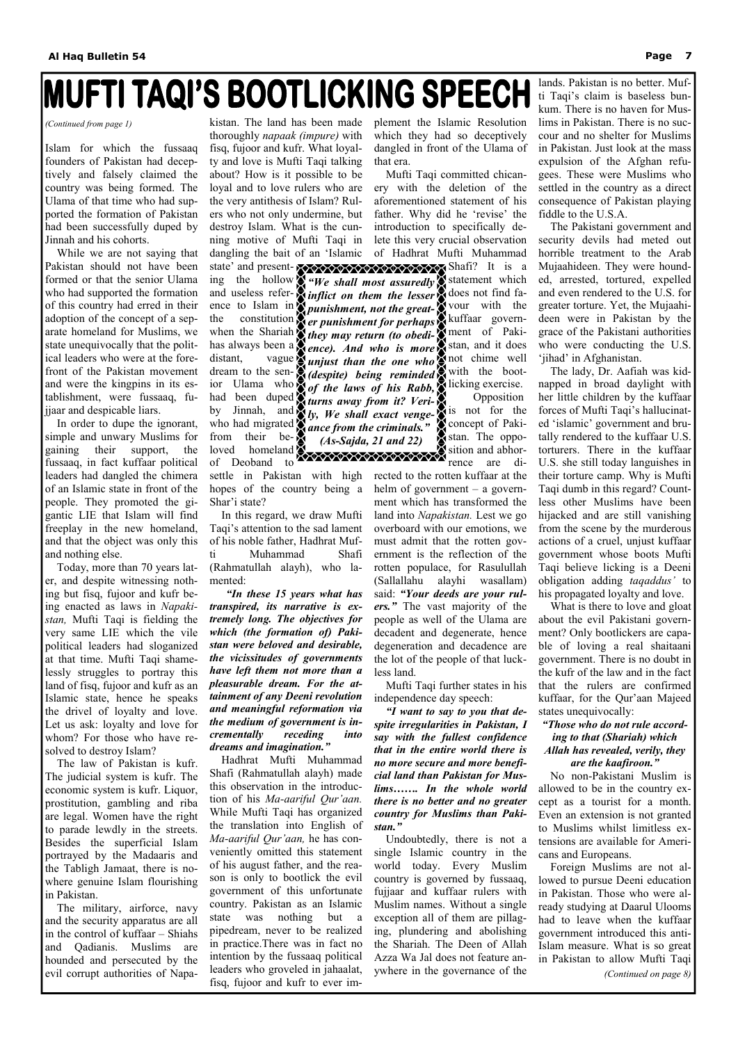# **IMUFTI TAQI'S BOOTLICKING SPEECH**

Islam for which the fussaaq founders of Pakistan had deceptively and falsely claimed the country was being formed. The Ulama of that time who had supported the formation of Pakistan had been successfully duped by Jinnah and his cohorts.

 While we are not saying that Pakistan should not have been formed or that the senior Ulama who had supported the formation of this country had erred in their adoption of the concept of a separate homeland for Muslims, we state unequivocally that the political leaders who were at the forefront of the Pakistan movement and were the kingpins in its establishment, were fussaaq, fujjaar and despicable liars.

 In order to dupe the ignorant, simple and unwary Muslims for gaining their support, the fussaaq, in fact kuffaar political leaders had dangled the chimera of an Islamic state in front of the people. They promoted the gigantic LIE that Islam will find freeplay in the new homeland, and that the object was only this and nothing else.

kistan. The land has been made thoroughly *napaak (impure)* with fisq, fujoor and kufr. What loyalty and love is Mufti Taqi talking about? How is it possible to be loyal and to love rulers who are the very antithesis of Islam? Rulers who not only undermine, but destroy Islam. What is the cunning motive of Mufti Taqi in dangling the bait of an 'Islamic state' and presenting the hollow  $\sum_{n=1}^{\infty}$  "We shall most assuredly statement which and useless refer-*inflict on them the lesser* does not find faence to Islam in *punishment, not the great-* vour with the the constitution **R** er punishment for perhaps **R** kuffaar governwhen the Shariah *they may return (to obedi-*

 Today, more than 70 years later, and despite witnessing nothing but fisq, fujoor and kufr being enacted as laws in *Napakistan,* Mufti Taqi is fielding the very same LIE which the vile political leaders had sloganized at that time. Mufti Taqi shamelessly struggles to portray this land of fisq, fujoor and kufr as an Islamic state, hence he speaks the drivel of loyalty and love. Let us ask: loyalty and love for whom? For those who have resolved to destroy Islam?

 The law of Pakistan is kufr. The judicial system is kufr. The economic system is kufr. Liquor, prostitution, gambling and riba are legal. Women have the right to parade lewdly in the streets. Besides the superficial Islam portrayed by the Madaaris and the Tabligh Jamaat, there is nowhere genuine Islam flourishing in Pakistan. The military, airforce, navy and the security apparatus are all in the control of kuffaar – Shiahs and Qadianis. Muslims are hounded and persecuted by the evil corrupt authorities of Napahas always been a **R** ence). And who is more **R** stan, and it does ment of Pakinot chime well with the bootlicking exercise. Opposition is not for the **C** concept of Pakistan. The opposition and abhorrence are di-

 In this regard, we draw Mufti Taqi's attention to the sad lament of his noble father, Hadhrat Mufti Muhammad Shafi (Rahmatullah alayh), who lamented:

 *"In these 15 years what has transpired, its narrative is extremely long. The objectives for which (the formation of) Pakistan were beloved and desirable, the vicissitudes of governments have left them not more than a pleasurable dream. For the attainment of any Deeni revolution and meaningful reformation via the medium of government is incrementally receding into dreams and imagination."* 

 Hadhrat Mufti Muhammad Shafi (Rahmatullah alayh) made this observation in the introduction of his *Ma-aariful Qur'aan.*  While Mufti Taqi has organized the translation into English of *Ma-aariful Qur'aan,* he has conveniently omitted this statement of his august father, and the reason is only to bootlick the evil government of this unfortunate country. Pakistan as an Islamic state was nothing but a pipedream, never to be realized in practice.There was in fact no intention by the fussaaq political leaders who groveled in jahaalat, fisq, fujoor and kufr to ever im-

settle in Pakistan with high rected to the rotten kuffaar at the helm of government – a government which has transformed the land into *Napakistan.* Lest we go overboard with our emotions, we must admit that the rotten government is the reflection of the rotten populace, for Rasulullah (Sallallahu alayhi wasallam) said: *"Your deeds are your rulers."* The vast majority of the people as well of the Ulama are decadent and degenerate, hence degeneration and decadence are the lot of the people of that luckless land.

plement the Islamic Resolution which they had so deceptively dangled in front of the Ulama of that era.

distant, vague *junjust than the one who* dream to the sen-*(despite) being reminded*  ior Ulama who *of the laws of his Rabb*, had been duped *turns away from it? Veri-*

and  $\sum_{k}^{n} I_{k}$ , We shall exact venge-

 Mufti Taqi committed chicanery with the deletion of the aforementioned statement of his father. Why did he 'revise' the introduction to specifically delete this very crucial observation of Hadhrat Mufti Muhammad

 Mufti Taqi further states in his independence day speech:

*"I want to say to you that despite irregularities in Pakistan, I say with the fullest confidence that in the entire world there is no more secure and more beneficial land than Pakistan for Muslims……. In the whole world there is no better and no greater country for Muslims than Pakistan."*  Undoubtedly, there is not a single Islamic country in the world today. Every Muslim country is governed by fussaaq, fujjaar and kuffaar rulers with Muslim names. Without a single exception all of them are pillaging, plundering and abolishing the Shariah. The Deen of Allah Azza Wa Jal does not feature anywhere in the governance of the

who had migrated from their beloved homeland **XXXXXXXXXXXXXXXXXXX** of Deoband to hopes of the country being a Shar'i state? *ance from the criminals." (As-Sajda, 21 and 22)* 

by Jinnah,

lands. Pakistan is no better. Mufti Taqi's claim is baseless bunkum. There is no haven for Muslims in Pakistan. There is no succour and no shelter for Muslims in Pakistan. Just look at the mass expulsion of the Afghan refugees. These were Muslims who settled in the country as a direct consequence of Pakistan playing fiddle to the U.S.A.

 The Pakistani government and security devils had meted out horrible treatment to the Arab Mujaahideen. They were hounded, arrested, tortured, expelled and even rendered to the U.S. for greater torture. Yet, the Mujaahideen were in Pakistan by the grace of the Pakistani authorities who were conducting the U.S. 'jihad' in Afghanistan.

 The lady, Dr. Aafiah was kidnapped in broad daylight with her little children by the kuffaar forces of Mufti Taqi's hallucinated 'islamic' government and brutally rendered to the kuffaar U.S. torturers. There in the kuffaar U.S. she still today languishes in their torture camp. Why is Mufti Taqi dumb in this regard? Countless other Muslims have been hijacked and are still vanishing from the scene by the murderous actions of a cruel, unjust kuffaar government whose boots Mufti Taqi believe licking is a Deeni obligation adding *taqaddus'* to his propagated loyalty and love.

 What is there to love and gloat about the evil Pakistani government? Only bootlickers are capable of loving a real shaitaani government. There is no doubt in the kufr of the law and in the fact that the rulers are confirmed kuffaar, for the Qur'aan Majeed states unequivocally:

### *"Those who do not rule according to that (Shariah) which Allah has revealed, verily, they are the kaafiroon."*

 No non-Pakistani Muslim is allowed to be in the country except as a tourist for a month. Even an extension is not granted to Muslims whilst limitless extensions are available for Americans and Europeans. Foreign Muslims are not allowed to pursue Deeni education in Pakistan. Those who were already studying at Daarul Ulooms had to leave when the kuffaar government introduced this anti-Islam measure. What is so great in Pakistan to allow Mufti Taqi *(Continued on page 8)* 

*(Continued from page 1)*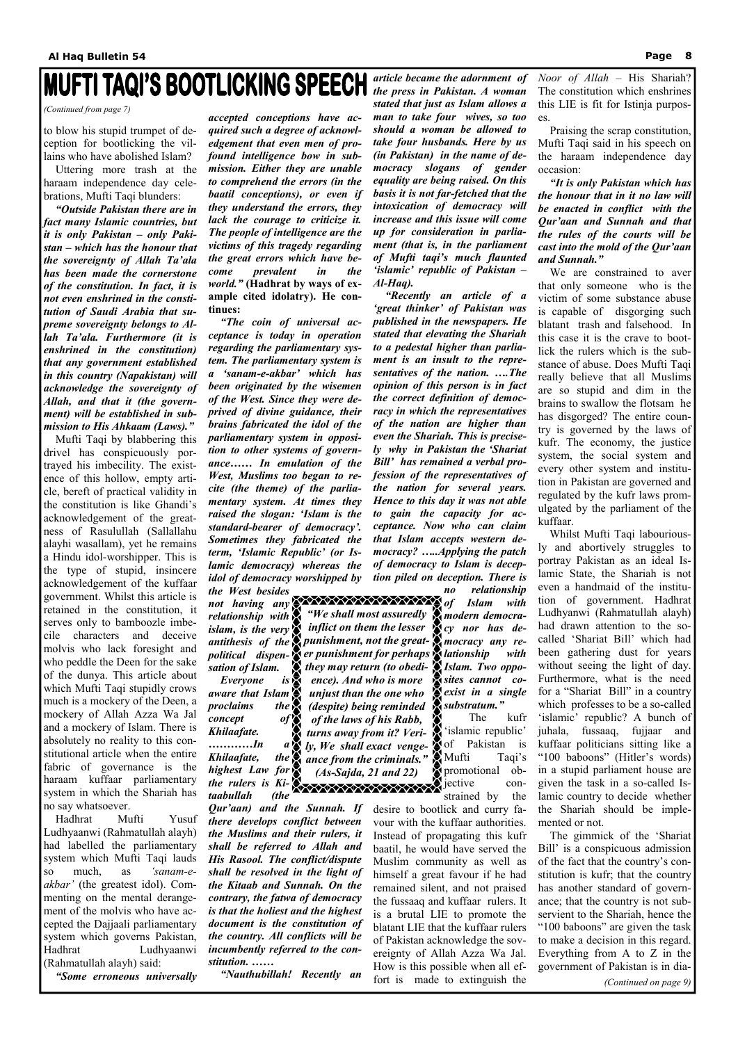# **INUFTI TAQI'S BOOTLICKING SPEECH**

to blow his stupid trumpet of deception for bootlicking the villains who have abolished Islam?

 Uttering more trash at the haraam independence day celebrations, Mufti Taqi blunders:

 *"Outside Pakistan there are in fact many Islamic countries, but it is only Pakistan – only Pakistan – which has the honour that the sovereignty of Allah Ta'ala has been made the cornerstone of the constitution. In fact, it is not even enshrined in the constitution of Saudi Arabia that supreme sovereignty belongs to Allah Ta'ala. Furthermore (it is enshrined in the constitution) that any government established in this country (Napakistan) will acknowledge the sovereignty of Allah, and that it (the government) will be established in submission to His Ahkaam (Laws)."* 

Mufti Taqi by blabbering this drivel has conspicuously portrayed his imbecility. The existence of this hollow, empty article, bereft of practical validity in the constitution is like Ghandi's acknowledgement of the greatness of Rasulullah (Sallallahu alayhi wasallam), yet he remains a Hindu idol-worshipper. This is the type of stupid, insincere acknowledgement of the kuffaar government. Whilst this article is retained in the constitution, it serves only to bamboozle imbecile characters and deceive molvis who lack foresight and who peddle the Deen for the sake of the dunya. This article about which Mufti Taqi stupidly crows much is a mockery of the Deen, a mockery of Allah Azza Wa Jal and a mockery of Islam. There is absolutely no reality to this constitutional article when the entire fabric of governance is the haraam kuffaar parliamentary

system in which the Shariah has no say whatsoever.

…………*In Khilaafate, highest Law for the rulers is Ki-*

 Hadhrat Mufti Yusuf Ludhyaanwi (Rahmatullah alayh) had labelled the parliamentary system which Mufti Taqi lauds so much, as *'sanam-eakbar'* (the greatest idol). Commenting on the mental derangement of the molvis who have accepted the Dajjaali parliamentary system which governs Pakistan, Hadhrat Ludhyaanwi (Rahmatullah alayh) said:

*"Some erroneous universally* 

*accepted conceptions have acquired such a degree of acknowledgement that even men of profound intelligence bow in submission. Either they are unable to comprehend the errors (in the baatil conceptions), or even if they understand the errors, they lack the courage to criticize it. The people of intelligence are the victims of this tragedy regarding the great errors which have become prevalent in the world."* **(Hadhrat by ways of example cited idolatry). He continues:** 

> The kufr 'islamic republic' of Pakistan is Mufti Taqi's promotional ob-

*"The coin of universal acceptance is today in operation regarding the parliamentary system. The parliamentary system is a 'sanam-e-akbar' which has been originated by the wisemen of the West. Since they were deprived of divine guidance, their brains fabricated the idol of the parliamentary system in opposition to other systems of governance…… In emulation of the West, Muslims too began to recite (the theme) of the parliamentary system. At times they raised the slogan: 'Islam is the standard-bearer of democracy'. Sometimes they fabricated the term, 'Islamic Republic' (or Islamic democracy) whereas the idol of democracy worshipped by the West besides* 

> **Executive con**strained by the desire to bootlick and curry favour with the kuffaar authorities. Instead of propagating this kufr baatil, he would have served the Muslim community as well as himself a great favour if he had remained silent, and not praised the fussaaq and kuffaar rulers. It is a brutal LIE to promote the blatant LIE that the kuffaar rulers of Pakistan acknowledge the sovereignty of Allah Azza Wa Jal. How is this possible when all effort is made to extinguish the

*not having any relationship with islam, is the very antithesis of the punishment, not the greatpolitical dispen-er punishment for perhaps sation of Islam. Everyone is* 

*aware that Islam proclaims the concept of Khilaafate.* 

*taabullah (the Qur'aan) and the Sunnah. If there develops conflict between the Muslims and their rulers, it shall be referred to Allah and His Rasool. The conflict/dispute shall be resolved in the light of the Kitaab and Sunnah. On the contrary, the fatwa of democracy is that the holiest and the highest document is the constitution of the country. All conflicts will be incumbently referred to the constitution. ……* 

 *"Nauthubillah! Recently an* 

*article became the adornment of the press in Pakistan. A woman stated that just as Islam allows a man to take four wives, so too should a woman be allowed to take four husbands. Here by us (in Pakistan) in the name of democracy slogans of gender equality are being raised. On this basis it is not far-fetched that the intoxication of democracy will increase and this issue will come up for consideration in parliament (that is, in the parliament of Mufti taqi's much flaunted 'islamic' republic of Pakistan – Al-Haq).* 

 *"Recently an article of a 'great thinker' of Pakistan was published in the newspapers. He stated that elevating the Shariah to a pedestal higher than parliament is an insult to the representatives of the nation. ….The opinion of this person is in fact the correct definition of democracy in which the representatives of the nation are higher than even the Shariah. This is precisely why in Pakistan the 'Shariat Bill' has remained a verbal profession of the representatives of the nation for several years. Hence to this day it was not able to gain the capacity for acceptance. Now who can claim that Islam accepts western democracy? …..Applying the patch of democracy to Islam is deception piled on deception. There is* 

*no relationship of Islam with modern democracy nor has democracy any relationship with Islam. Two opposites cannot coexist in a single substratum."* 

D

*Noor of Allah –* His Shariah? The constitution which enshrines this LIE is fit for Istinja purposes.

 Praising the scrap constitution, Mufti Taqi said in his speech on the haraam independence day occasion:

*"It is only Pakistan which has the honour that in it no law will be enacted in conflict with the Qur'aan and Sunnah and that the rules of the courts will be cast into the mold of the Qur'aan and Sunnah."* 

We are constrained to aver that only someone who is the victim of some substance abuse is capable of disgorging such blatant trash and falsehood. In this case it is the crave to bootlick the rulers which is the substance of abuse. Does Mufti Taqi really believe that all Muslims are so stupid and dim in the brains to swallow the flotsam he has disgorged? The entire country is governed by the laws of kufr. The economy, the justice system, the social system and every other system and institution in Pakistan are governed and regulated by the kufr laws promulgated by the parliament of the kuffaar.

 Whilst Mufti Taqi labouriously and abortively struggles to portray Pakistan as an ideal Islamic State, the Shariah is not even a handmaid of the institution of government. Hadhrat Ludhyanwi (Rahmatullah alayh) had drawn attention to the socalled 'Shariat Bill' which had been gathering dust for years without seeing the light of day. Furthermore, what is the need for a "Shariat Bill" in a country which professes to be a so-called 'islamic' republic? A bunch of juhala, fussaaq, fujjaar and kuffaar politicians sitting like a "100 baboons" (Hitler's words) in a stupid parliament house are given the task in a so-called Islamic country to decide whether the Shariah should be implemented or not. The gimmick of the 'Shariat Bill' is a conspicuous admission of the fact that the country's constitution is kufr; that the country has another standard of governance; that the country is not subservient to the Shariah, hence the "100 baboons" are given the task to make a decision in this regard. Everything from A to Z in the government of Pakistan is in dia-

*(Continued from page 7)* 

*(Continued on page 9)* 

*"We shall most assuredly inflict on them the lesser* 

*they may return (to obedience). And who is more unjust than the one who (despite) being reminded of the laws of his Rabb, turns away from it? Verily, We shall exact vengeance from the criminals." (As-Sajda, 21 and 22)*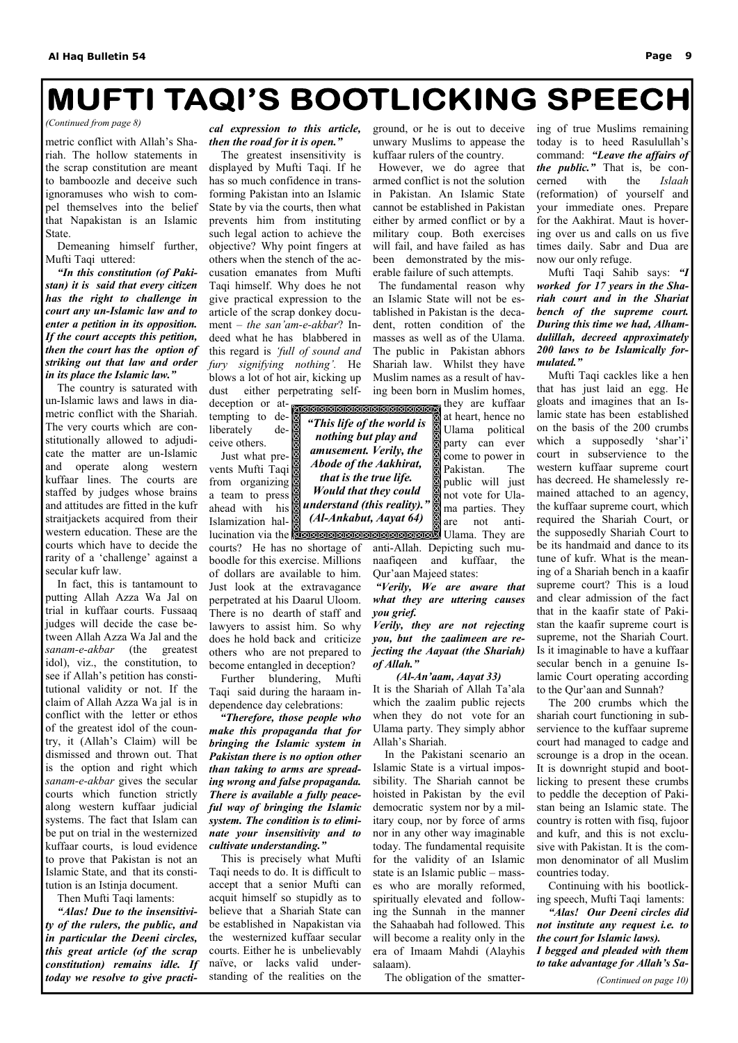# **MUFTI TAQI'S BOOTLICKING SPEECH**

metric conflict with Allah's Shariah. The hollow statements in the scrap constitution are meant to bamboozle and deceive such ignoramuses who wish to compel themselves into the belief that Napakistan is an Islamic State.

 Demeaning himself further, Mufti Taqi uttered:

 *"In this constitution (of Pakistan) it is said that every citizen has the right to challenge in court any un-Islamic law and to enter a petition in its opposition. If the court accepts this petition, then the court has the option of striking out that law and order in its place the Islamic law."* 

The country is saturated with un-Islamic laws and laws in diametric conflict with the Shariah. The very courts which are constitutionally allowed to adjudicate the matter are un-Islamic and operate along western kuffaar lines. The courts are staffed by judges whose brains and attitudes are fitted in the kufr straitjackets acquired from their western education. These are the courts which have to decide the rarity of a 'challenge' against a secular kufr law.

 Just what prevents Mufti Taqi from organizing a team to press ahead with his Islamization hal-

 In fact, this is tantamount to putting Allah Azza Wa Jal on trial in kuffaar courts. Fussaaq judges will decide the case between Allah Azza Wa Jal and the *sanam-e-akbar* (the greatest idol), viz., the constitution, to see if Allah's petition has constitutional validity or not. If the claim of Allah Azza Wa jal is in conflict with the letter or ethos of the greatest idol of the country, it (Allah's Claim) will be dismissed and thrown out. That is the option and right which *sanam-e-akbar* gives the secular courts which function strictly along western kuffaar judicial systems. The fact that Islam can be put on trial in the westernized kuffaar courts, is loud evidence to prove that Pakistan is not an Islamic State, and that its constitution is an Istinja document. Then Mufti Taqi laments:  *"Alas! Due to the insensitivity of the rulers, the public, and in particular the Deeni circles, this great article (of the scrap constitution) remains idle. If today we resolve to give practi-*

### *cal expression to this article, then the road for it is open."*

lucination via the **Economic Assessing September 2** Ulama. They are they are kuffaar at heart, hence no Ulama political party can ever come to power in Pakistan. The public will just not vote for Ulama parties. They are not anti-

The greatest insensitivity is displayed by Mufti Taqi. If he has so much confidence in transforming Pakistan into an Islamic State by via the courts, then what prevents him from instituting such legal action to achieve the objective? Why point fingers at others when the stench of the accusation emanates from Mufti Taqi himself. Why does he not give practical expression to the article of the scrap donkey document – *the san'am-e-akbar*? Indeed what he has blabbered in this regard is *'full of sound and fury signifying nothing'.* He blows a lot of hot air, kicking up dust either perpetrating self-

deception or attempting to deliberately deceive others.

courts? He has no shortage of boodle for this exercise. Millions of dollars are available to him. Just look at the extravagance perpetrated at his Daarul Uloom. There is no dearth of staff and lawyers to assist him. So why does he hold back and criticize others who are not prepared to become entangled in deception?

 Further blundering, Mufti Taqi said during the haraam independence day celebrations:

 *"Therefore, those people who make this propaganda that for bringing the Islamic system in Pakistan there is no option other than taking to arms are spreading wrong and false propaganda. There is available a fully peaceful way of bringing the Islamic system. The condition is to eliminate your insensitivity and to cultivate understanding."*  This is precisely what Mufti Taqi needs to do. It is difficult to accept that a senior Mufti can acquit himself so stupidly as to believe that a Shariah State can be established in Napakistan via the westernized kuffaar secular courts. Either he is unbelievably naïve, or lacks valid understanding of the realities on the

**KERERERERERERERER** *"This life of the world is nothing but play and amusement. Verily, the Abode of the Aakhirat, that is the true life. Would that they could understand (this reality)." (Al-Ankabut, Aayat 64)* 

ground, or he is out to deceive unwary Muslims to appease the kuffaar rulers of the country.

 However, we do agree that armed conflict is not the solution in Pakistan. An Islamic State cannot be established in Pakistan either by armed conflict or by a military coup. Both exercises will fail, and have failed as has been demonstrated by the miserable failure of such attempts.

 The fundamental reason why an Islamic State will not be established in Pakistan is the decadent, rotten condition of the masses as well as of the Ulama. The public in Pakistan abhors Shariah law. Whilst they have Muslim names as a result of having been born in Muslim homes,

anti-Allah. Depicting such munaafiqeen and kuffaar, the Qur'aan Majeed states:

*"Verily, We are aware that what they are uttering causes you grief.* 

*Verily, they are not rejecting you, but the zaalimeen are rejecting the Aayaat (the Shariah) of Allah."* 

*(Al-An'aam, Aayat 33)*  It is the Shariah of Allah Ta'ala which the zaalim public rejects when they do not vote for an Ulama party. They simply abhor Allah's Shariah.

 In the Pakistani scenario an Islamic State is a virtual impossibility. The Shariah cannot be hoisted in Pakistan by the evil democratic system nor by a military coup, nor by force of arms nor in any other way imaginable today. The fundamental requisite for the validity of an Islamic state is an Islamic public – masses who are morally reformed, spiritually elevated and following the Sunnah in the manner the Sahaabah had followed. This will become a reality only in the era of Imaam Mahdi (Alayhis salaam).

The obligation of the smatter-

ing of true Muslims remaining today is to heed Rasulullah's command: *"Leave the affairs of the public."* That is, be concerned with the *Islaah*  (reformation) of yourself and your immediate ones. Prepare for the Aakhirat. Maut is hovering over us and calls on us five times daily. Sabr and Dua are now our only refuge.

 Mufti Taqi Sahib says: *"I worked for 17 years in the Shariah court and in the Shariat bench of the supreme court. During this time we had, Alhamdulillah, decreed approximately 200 laws to be Islamically formulated."*

Mufti Taqi cackles like a hen that has just laid an egg. He gloats and imagines that an Islamic state has been established on the basis of the 200 crumbs which a supposedly 'shar'i' court in subservience to the western kuffaar supreme court has decreed. He shamelessly remained attached to an agency, the kuffaar supreme court, which required the Shariah Court, or the supposedly Shariah Court to be its handmaid and dance to its tune of kufr. What is the meaning of a Shariah bench in a kaafir supreme court? This is a loud and clear admission of the fact that in the kaafir state of Pakistan the kaafir supreme court is supreme, not the Shariah Court. Is it imaginable to have a kuffaar secular bench in a genuine Islamic Court operating according to the Qur'aan and Sunnah?

 The 200 crumbs which the shariah court functioning in subservience to the kuffaar supreme court had managed to cadge and scrounge is a drop in the ocean. It is downright stupid and bootlicking to present these crumbs to peddle the deception of Pakistan being an Islamic state. The country is rotten with fisq, fujoor and kufr, and this is not exclusive with Pakistan. It is the common denominator of all Muslim countries today. Continuing with his bootlicking speech, Mufti Taqi laments:  *"Alas! Our Deeni circles did not institute any request i.e. to the court for Islamic laws). I begged and pleaded with them to take advantage for Allah's Sa-*

#### *(Continued from page 8)*

*(Continued on page 10)*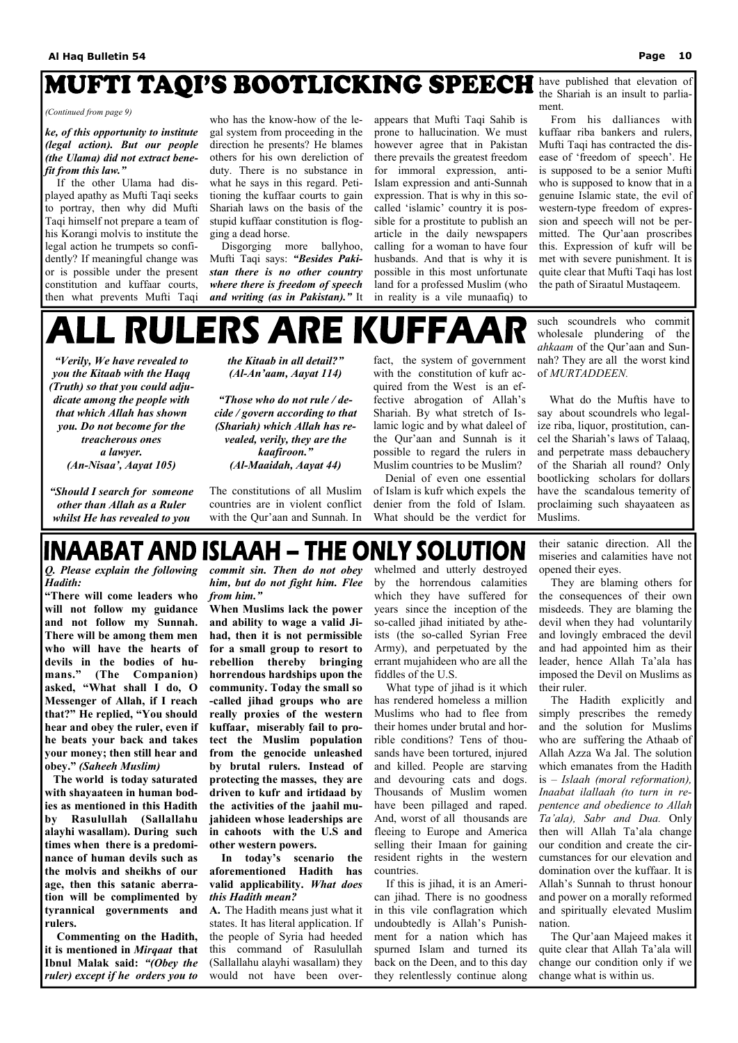# MUFTI TAQI'S BOOTLICKING SPEECH

### *ke, of this opportunity to institute (legal action). But our people (the Ulama) did not extract benefit from this law."*

If the other Ulama had displayed apathy as Mufti Taqi seeks to portray, then why did Mufti Taqi himself not prepare a team of his Korangi molvis to institute the legal action he trumpets so confidently? If meaningful change was or is possible under the present constitution and kuffaar courts, then what prevents Mufti Taqi

who has the know-how of the legal system from proceeding in the direction he presents? He blames others for his own dereliction of duty. There is no substance in what he says in this regard. Petitioning the kuffaar courts to gain Shariah laws on the basis of the stupid kuffaar constitution is flogging a dead horse.

 Disgorging more ballyhoo, Mufti Taqi says: *"Besides Pakistan there is no other country where there is freedom of speech and writing (as in Pakistan)."* It appears that Mufti Taqi Sahib is prone to hallucination. We must however agree that in Pakistan there prevails the greatest freedom for immoral expression, anti-Islam expression and anti-Sunnah expression. That is why in this socalled 'islamic' country it is possible for a prostitute to publish an article in the daily newspapers calling for a woman to have four husbands. And that is why it is possible in this most unfortunate land for a professed Muslim (who in reality is a vile munaafiq) to

have published that elevation of the Shariah is an insult to parliament.

 From his dalliances with kuffaar riba bankers and rulers, Mufti Taqi has contracted the disease of 'freedom of speech'. He is supposed to be a senior Mufti who is supposed to know that in a genuine Islamic state, the evil of western-type freedom of expression and speech will not be permitted. The Qur'aan proscribes this. Expression of kufr will be met with severe punishment. It is quite clear that Mufti Taqi has lost the path of Siraatul Mustaqeem.

# ALL RULERS ARE KUFFAAI

#### *(Continued from page 9)*

*"Verily, We have revealed to you the Kitaab with the Haqq (Truth) so that you could adjudicate among the people with that which Allah has shown you. Do not become for the treacherous ones a lawyer. (An-Nisaa', Aayat 105)* 

*"Should I search for someone other than Allah as a Ruler whilst He has revealed to you* 

*the Kitaab in all detail?" (Al-An'aam, Aayat 114)* 

*"Those who do not rule / decide / govern according to that (Shariah) which Allah has revealed, verily, they are the kaafiroon." (Al-Maaidah, Aayat 44)* 

The constitutions of all Muslim countries are in violent conflict with the Qur'aan and Sunnah. In

fact, the system of government with the constitution of kufr acquired from the West is an effective abrogation of Allah's Shariah. By what stretch of Islamic logic and by what daleel of the Qur'aan and Sunnah is it possible to regard the rulers in Muslim countries to be Muslim?

 Denial of even one essential of Islam is kufr which expels the denier from the fold of Islam. What should be the verdict for such scoundrels who commit wholesale plundering of the *ahkaam* of the Qur'aan and Sunnah? They are all the worst kind of *MURTADDEEN.* 

 What do the Muftis have to say about scoundrels who legalize riba, liquor, prostitution, cancel the Shariah's laws of Talaaq, and perpetrate mass debauchery of the Shariah all round? Only bootlicking scholars for dollars have the scandalous temerity of proclaiming such shayaateen as Muslims.

### INAABAT AND ISLAAH – THE ONLY SOLUTION

*Q. Please explain the following Hadith:* 

**"There will come leaders who will not follow my guidance and not follow my Sunnah. There will be among them men who will have the hearts of devils in the bodies of humans." (The Companion) asked, "What shall I do, O Messenger of Allah, if I reach that?" He replied, "You should hear and obey the ruler, even if he beats your back and takes your money; then still hear and obey."** *(Saheeh Muslim)* 

 **The world is today saturated** 

**with shayaateen in human bodies as mentioned in this Hadith by Rasulullah (Sallallahu alayhi wasallam). During such times when there is a predominance of human devils such as the molvis and sheikhs of our age, then this satanic aberration will be complimented by tyrannical governments and rulers.** 

 **Commenting on the Hadith, it is mentioned in** *Mirqaat* **that Ibnul Malak said:** *"(Obey the ruler) except if he orders you to* 

*commit sin. Then do not obey him, but do not fight him. Flee from him."* 

**When Muslims lack the power and ability to wage a valid Jihad, then it is not permissible for a small group to resort to rebellion thereby bringing horrendous hardships upon the community. Today the small so -called jihad groups who are really proxies of the western kuffaar, miserably fail to protect the Muslim population from the genocide unleashed by brutal rulers. Instead of protecting the masses, they are** 

**driven to kufr and irtidaad by the activities of the jaahil mujahideen whose leaderships are in cahoots with the U.S and other western powers.** 

 **In today's scenario the aforementioned Hadith has valid applicability.** *What does this Hadith mean?* 

**A.** The Hadith means just what it states. It has literal application. If the people of Syria had heeded this command of Rasulullah (Sallallahu alayhi wasallam) they would not have been overwhelmed and utterly destroyed by the horrendous calamities which they have suffered for years since the inception of the so-called jihad initiated by atheists (the so-called Syrian Free Army), and perpetuated by the errant mujahideen who are all the fiddles of the U.S.

 What type of jihad is it which has rendered homeless a million Muslims who had to flee from their homes under brutal and horrible conditions? Tens of thousands have been tortured, injured and killed. People are starving and devouring cats and dogs. Thousands of Muslim women have been pillaged and raped. And, worst of all thousands are fleeing to Europe and America selling their Imaan for gaining resident rights in the western countries. If this is jihad, it is an American jihad. There is no goodness in this vile conflagration which undoubtedly is Allah's Punishment for a nation which has spurned Islam and turned its back on the Deen, and to this day they relentlessly continue along

their satanic direction. All the miseries and calamities have not opened their eyes.

 They are blaming others for the consequences of their own misdeeds. They are blaming the devil when they had voluntarily and lovingly embraced the devil and had appointed him as their leader, hence Allah Ta'ala has imposed the Devil on Muslims as their ruler.

 The Hadith explicitly and simply prescribes the remedy and the solution for Muslims who are suffering the Athaab of Allah Azza Wa Jal. The solution which emanates from the Hadith is – *Islaah (moral reformation), Inaabat ilallaah (to turn in repentence and obedience to Allah Ta'ala), Sabr and Dua.* Only then will Allah Ta'ala change our condition and create the circumstances for our elevation and domination over the kuffaar. It is Allah's Sunnah to thrust honour and power on a morally reformed and spiritually elevated Muslim nation. The Qur'aan Majeed makes it quite clear that Allah Ta'ala will change our condition only if we change what is within us.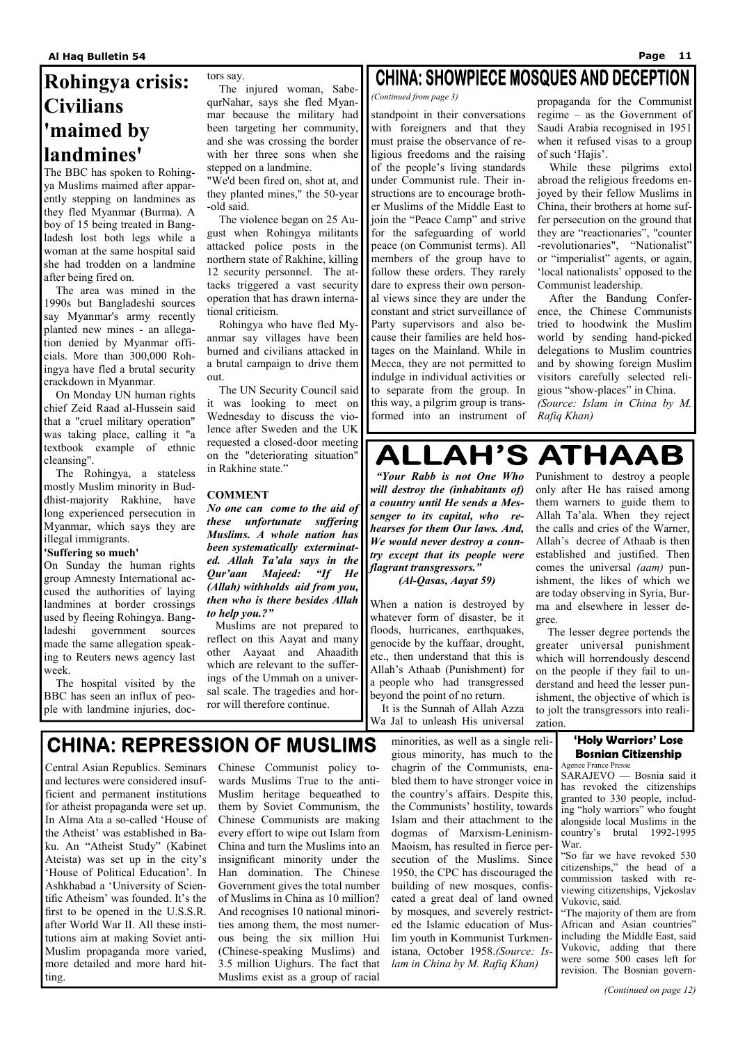standpoint in their conversations with foreigners and that they must praise the observance of religious freedoms and the raising of the people's living standards under Communist rule. Their instructions are to encourage brother Muslims of the Middle East to join the "Peace Camp" and strive for the safeguarding of world peace (on Communist terms). All members of the group have to follow these orders. They rarely dare to express their own personal views since they are under the constant and strict surveillance of Party supervisors and also because their families are held hostages on the Mainland. While in Mecca, they are not permitted to indulge in individual activities or to separate from the group. In this way, a pilgrim group is transformed into an instrument of propaganda for the Communist regime – as the Government of Saudi Arabia recognised in 1951 when it refused visas to a group of such 'Hajis'.

 While these pilgrims extol abroad the religious freedoms enjoyed by their fellow Muslims in China, their brothers at home suffer persecution on the ground that they are "reactionaries", "counter -revolutionaries", "Nationalist" or "imperialist" agents, or again, 'local nationalists' opposed to the Communist leadership.

 After the Bandung Conference, the Chinese Communists tried to hoodwink the Muslim world by sending hand-picked delegations to Muslim countries and by showing foreign Muslim visitors carefully selected religious "show-places" in China. *(Source: Islam in China by M. Rafiq Khan)* 

### **ALLAH'S ATHAAB**

### *(Continued from page 3)*

### **Rohingya crisis: Civilians 'maimed by landmines'**

The BBC has spoken to Rohingya Muslims maimed after apparently stepping on landmines as they fled Myanmar (Burma). A boy of 15 being treated in Bangladesh lost both legs while a woman at the same hospital said she had trodden on a landmine after being fired on.

 The area was mined in the 1990s but Bangladeshi sources say Myanmar's army recently planted new mines - an allegation denied by Myanmar officials. More than 300,000 Rohingya have fled a brutal security crackdown in Myanmar.

 On Monday UN human rights chief Zeid Raad al-Hussein said that a "cruel military operation" was taking place, calling it "a textbook example of ethnic cleansing".

 The Rohingya, a stateless mostly Muslim minority in Buddhist-majority Rakhine, have long experienced persecution in Myanmar, which says they are illegal immigrants.

### **'Suffering so much'**

On Sunday the human rights group Amnesty International accused the authorities of laying landmines at border crossings used by fleeing Rohingya. Bangladeshi government sources made the same allegation speaking to Reuters news agency last week.

 The hospital visited by the BBC has seen an influx of people with landmine injuries, doctors say.

 The injured woman, SabequrNahar, says she fled Myanmar because the military had been targeting her community, and she was crossing the border with her three sons when she stepped on a landmine.

"We'd been fired on, shot at, and they planted mines," the 50-year -old said.

 The violence began on 25 August when Rohingya militants attacked police posts in the northern state of Rakhine, killing 12 security personnel. The attacks triggered a vast security operation that has drawn international criticism.

 Rohingya who have fled Myanmar say villages have been burned and civilians attacked in a brutal campaign to drive them out.

 The UN Security Council said it was looking to meet on Wednesday to discuss the violence after Sweden and the UK requested a closed-door meeting on the "deteriorating situation" in Rakhine state."

### **COMMENT**

*No one can come to the aid of these unfortunate suffering Muslims. A whole nation has been systematically exterminated. Allah Ta'ala says in the Qur'aan Majeed: "If He (Allah) withholds aid from you, then who is there besides Allah to help you.?"*

 Muslims are not prepared to reflect on this Aayat and many other Aayaat and Ahaadith which are relevant to the sufferings of the Ummah on a universal scale. The tragedies and horror will therefore continue.

### **CHINA: SHOWPIECE MOSQUES AND DECEPTION**

 *"Your Rabb is not One Who will destroy the (inhabitants of) a country until He sends a Messenger to its capital, who rehearses for them Our laws. And, We would never destroy a country except that its people were flagrant transgressors." (Al-Qasas, Aayat 59)* 

When a nation is destroyed by whatever form of disaster, be it floods, hurricanes, earthquakes, genocide by the kuffaar, drought, etc., then understand that this is Allah's Athaab (Punishment) for a people who had transgressed beyond the point of no return.

 It is the Sunnah of Allah Azza Wa Jal to unleash His universal

Punishment to destroy a people only after He has raised among them warners to guide them to Allah Ta'ala. When they reject the calls and cries of the Warner, Allah's decree of Athaab is then established and justified. Then comes the universal *(aam)* punishment, the likes of which we are today observing in Syria, Burma and elsewhere in lesser degree.

 The lesser degree portends the greater universal punishment which will horrendously descend on the people if they fail to understand and heed the lesser punishment, the objective of which is to jolt the transgressors into realization.

Central Asian Republics. Seminars Chinese Communist policy toand lectures were considered insuf-wards Muslims True to the antificient and permanent institutions for atheist propaganda were set up. In Alma Ata a so-called 'House of the Atheist' was established in Baku. An "Atheist Study" (Kabinet Ateista) was set up in the city's 'House of Political Education'. In Ashkhabad a 'University of Scientific Atheism' was founded. It's the first to be opened in the U.S.S.R. after World War II. All these institutions aim at making Soviet anti-Muslim propaganda more varied, more detailed and more hard hitting.

Muslim heritage bequeathed to them by Soviet Communism, the Chinese Communists are making every effort to wipe out Islam from China and turn the Muslims into an insignificant minority under the Han domination. The Chinese Government gives the total number of Muslims in China as 10 million? And recognises 10 national minorities among them, the most numerous being the six million Hui (Chinese-speaking Muslims) and 3.5 million Uighurs. The fact that Muslims exist as a group of racial

minorities, as well as a single religious minority, has much to the chagrin of the Communists, enabled them to have stronger voice in

the country's affairs. Despite this, the Communists' hostility, towards Islam and their attachment to the dogmas of Marxism-Leninism-Maoism, has resulted in fierce persecution of the Muslims. Since 1950, the CPC has discouraged the building of new mosques, confiscated a great deal of land owned by mosques, and severely restricted the Islamic education of Muslim youth in Kommunist Turkmenistana, October 1958.*(Source: Islam in China by M. Rafiq Khan)* 

### **'Holy Warriors' Lose Bosnian Citizenship**

Agence France Presse SARAJEVO — Bosnia said it has revoked the citizenships granted to 330 people, including "holy warriors" who fought alongside local Muslims in the country's brutal 1992-1995 War. "So far we have revoked 530 citizenships," the head of a commission tasked with reviewing citizenships, Vjekoslav Vukovic, said. "The majority of them are from African and Asian countries" including the Middle East, said Vukovic, adding that there were some 500 cases left for revision. The Bosnian govern-

### **CHINA: REPRESSION OF MUSLIMS**

*(Continued on page 12)*